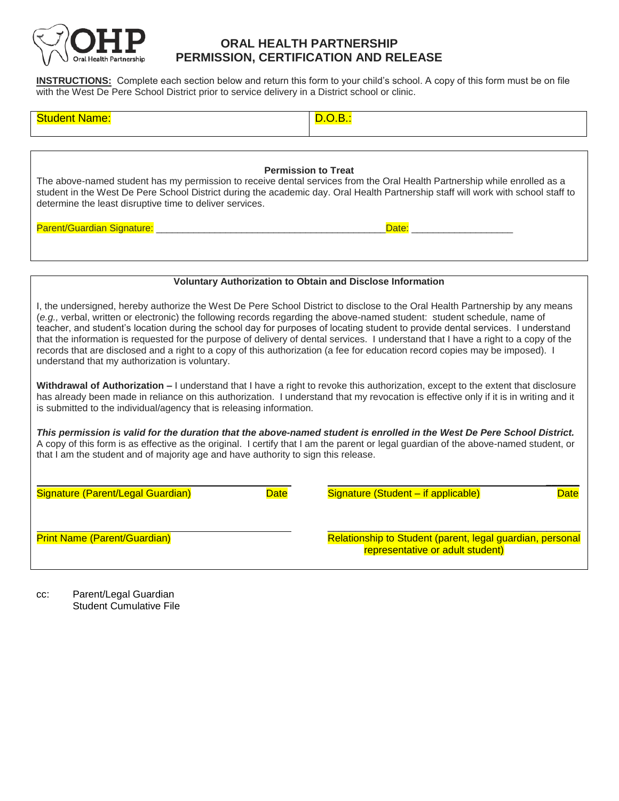

## **ORAL HEALTH PARTNERSHIP PERMISSION, CERTIFICATION AND RELEASE**

**INSTRUCTIONS:** Complete each section below and return this form to your child's school. A copy of this form must be on file with the West De Pere School District prior to service delivery in a District school or clinic.

| 4 E |  |
|-----|--|
|-----|--|

## **Permission to Treat**

The above-named student has my permission to receive dental services from the Oral Health Partnership while enrolled as a student in the West De Pere School District during the academic day. Oral Health Partnership staff will work with school staff to determine the least disruptive time to deliver services.

Parent/Guardian Signature: \_\_\_\_\_\_\_\_\_\_\_\_\_\_\_\_\_\_\_\_\_\_\_\_\_\_\_\_\_\_\_\_\_\_\_\_\_\_\_\_\_\_\_Date: \_\_\_\_\_\_\_\_\_\_\_\_\_\_\_\_\_\_\_

## **Voluntary Authorization to Obtain and Disclose Information**

I, the undersigned, hereby authorize the West De Pere School District to disclose to the Oral Health Partnership by any means (*e.g.,* verbal, written or electronic) the following records regarding the above-named student: student schedule, name of teacher, and student's location during the school day for purposes of locating student to provide dental services. I understand that the information is requested for the purpose of delivery of dental services. I understand that I have a right to a copy of the records that are disclosed and a right to a copy of this authorization (a fee for education record copies may be imposed). I understand that my authorization is voluntary.

**Withdrawal of Authorization –** I understand that I have a right to revoke this authorization, except to the extent that disclosure has already been made in reliance on this authorization. I understand that my revocation is effective only if it is in writing and it is submitted to the individual/agency that is releasing information.

*This permission is valid for the duration that the above-named student is enrolled in the West De Pere School District.*  A copy of this form is as effective as the original. I certify that I am the parent or legal guardian of the above-named student, or that I am the student and of majority age and have authority to sign this release.

| Signature (Parent/Legal Guardian)   | <b>Date</b> | Signature (Student - if applicable)<br><b>Date</b>                                            |  |
|-------------------------------------|-------------|-----------------------------------------------------------------------------------------------|--|
| <b>Print Name (Parent/Guardian)</b> |             | Relationship to Student (parent, legal guardian, personal<br>representative or adult student) |  |

cc: Parent/Legal Guardian Student Cumulative File